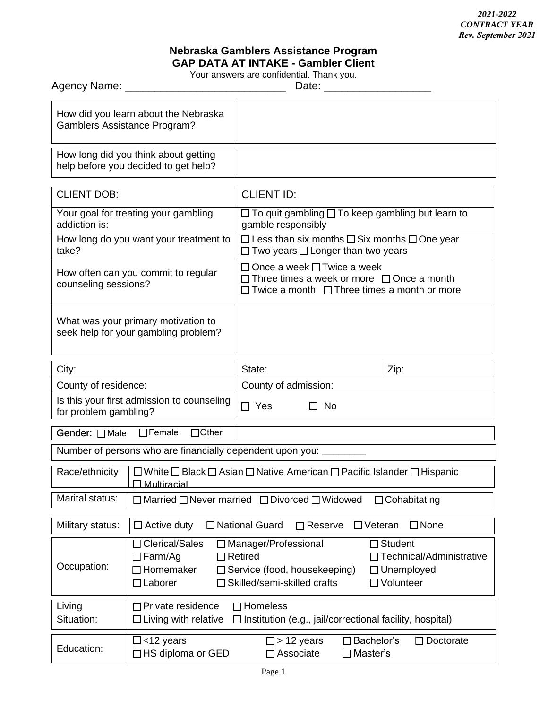## **Nebraska Gamblers Assistance Program GAP DATA AT INTAKE - Gambler Client**

Your answers are confidential. Thank you.

| Date: $\frac{1}{2}$                                                          |                                                                                                                                                                                                                                                                                  |                                                                                                                                                  |                  |
|------------------------------------------------------------------------------|----------------------------------------------------------------------------------------------------------------------------------------------------------------------------------------------------------------------------------------------------------------------------------|--------------------------------------------------------------------------------------------------------------------------------------------------|------------------|
| How did you learn about the Nebraska<br><b>Gamblers Assistance Program?</b>  |                                                                                                                                                                                                                                                                                  |                                                                                                                                                  |                  |
| How long did you think about getting<br>help before you decided to get help? |                                                                                                                                                                                                                                                                                  |                                                                                                                                                  |                  |
| <b>CLIENT DOB:</b>                                                           |                                                                                                                                                                                                                                                                                  | <b>CLIENT ID:</b>                                                                                                                                |                  |
| Your goal for treating your gambling<br>addiction is:                        |                                                                                                                                                                                                                                                                                  | $\Box$ To quit gambling $\Box$ To keep gambling but learn to<br>gamble responsibly                                                               |                  |
| How long do you want your treatment to<br>take?                              |                                                                                                                                                                                                                                                                                  | $\Box$ Less than six months $\Box$ Six months $\Box$ One year<br>$\Box$ Two years $\Box$ Longer than two years                                   |                  |
| How often can you commit to regular<br>counseling sessions?                  |                                                                                                                                                                                                                                                                                  | □ Once a week □ Twice a week<br>$\Box$ Three times a week or more $\Box$ Once a month<br>$\Box$ Twice a month $\Box$ Three times a month or more |                  |
| What was your primary motivation to<br>seek help for your gambling problem?  |                                                                                                                                                                                                                                                                                  |                                                                                                                                                  |                  |
| City:                                                                        |                                                                                                                                                                                                                                                                                  | State:                                                                                                                                           | Zip:             |
| County of residence:                                                         |                                                                                                                                                                                                                                                                                  | County of admission:                                                                                                                             |                  |
| Is this your first admission to counseling<br>for problem gambling?          |                                                                                                                                                                                                                                                                                  | $\Box$ Yes<br>$\Box$ No                                                                                                                          |                  |
| $\Box$ Other<br>$\Box$ Female<br>Gender: □Male                               |                                                                                                                                                                                                                                                                                  |                                                                                                                                                  |                  |
| Number of persons who are financially dependent upon you: _____              |                                                                                                                                                                                                                                                                                  |                                                                                                                                                  |                  |
| Race/ethnicity                                                               | $\Box$ White $\Box$ Black $\Box$ Asian $\Box$ Native American $\Box$ Pacific Islander $\Box$ Hispanic<br>Multiracial                                                                                                                                                             |                                                                                                                                                  |                  |
| Marital status:                                                              | $\Box$ Married $\Box$ Never married $\Box$ Divorced $\Box$ Widowed<br>$\Box$ Cohabitating                                                                                                                                                                                        |                                                                                                                                                  |                  |
| Military status:                                                             | □ National Guard<br>$\square$ None<br>$\Box$ Active duty<br>$\Box$ Reserve<br>$\Box$ Veteran                                                                                                                                                                                     |                                                                                                                                                  |                  |
| Occupation:                                                                  | □ Clerical/Sales<br>□ Manager/Professional<br>$\Box$ Student<br>$\Box$ Farm/Ag<br>$\Box$ Retired<br>□ Technical/Administrative<br>$\Box$ Homemaker<br>$\Box$ Service (food, housekeeping)<br>$\Box$ Unemployed<br>□ Skilled/semi-skilled crafts<br>□ Volunteer<br>$\Box$ Laborer |                                                                                                                                                  |                  |
| Living<br>Situation:                                                         | $\Box$ Homeless<br>□ Private residence<br>$\Box$ Living with relative<br>$\Box$ Institution (e.g., jail/correctional facility, hospital)                                                                                                                                         |                                                                                                                                                  |                  |
| Education:                                                                   | $\Box$ <12 years<br>$\Box$ HS diploma or GED                                                                                                                                                                                                                                     | $\square$ > 12 years<br>$\square$ Bachelor's<br>$\square$ Associate<br>$\Box$ Master's                                                           | $\Box$ Doctorate |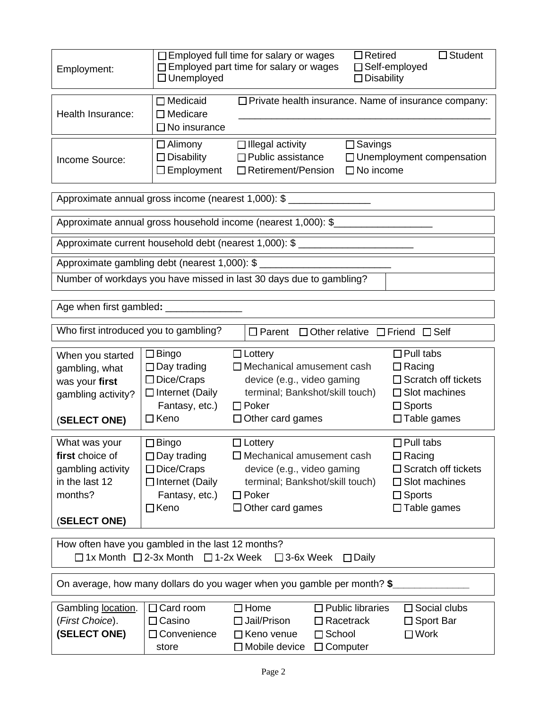| Employment:                                                                                                                                       | $\Box$ Employed full time for salary or wages<br>$\Box$ Retired<br>$\Box$ Student<br>□ Employed part time for salary or wages<br>□ Self-employed<br>$\Box$ Unemployed<br>$\Box$ Disability |                                                                                                                                                                |                                                                                                     |                            |
|---------------------------------------------------------------------------------------------------------------------------------------------------|--------------------------------------------------------------------------------------------------------------------------------------------------------------------------------------------|----------------------------------------------------------------------------------------------------------------------------------------------------------------|-----------------------------------------------------------------------------------------------------|----------------------------|
| Health Insurance:                                                                                                                                 | $\Box$ Medicaid<br>□ Private health insurance. Name of insurance company:<br>$\Box$ Medicare<br>$\Box$ No insurance                                                                        |                                                                                                                                                                |                                                                                                     |                            |
| Income Source:                                                                                                                                    | $\Box$ Alimony<br>$\Box$ Disability<br>$\Box$ Employment                                                                                                                                   | $\Box$ Illegal activity<br>$\Box$ Public assistance<br>$\Box$ Retirement/Pension                                                                               | $\square$ Savings<br>□ Unemployment compensation<br>$\Box$ No income                                |                            |
|                                                                                                                                                   |                                                                                                                                                                                            | Approximate annual gross income (nearest 1,000): \$                                                                                                            |                                                                                                     |                            |
| Approximate annual gross household income (nearest 1,000): \$                                                                                     |                                                                                                                                                                                            |                                                                                                                                                                |                                                                                                     |                            |
|                                                                                                                                                   |                                                                                                                                                                                            | Approximate current household debt (nearest 1,000): \$                                                                                                         |                                                                                                     |                            |
| Approximate gambling debt (nearest 1,000): \$                                                                                                     |                                                                                                                                                                                            |                                                                                                                                                                |                                                                                                     |                            |
|                                                                                                                                                   |                                                                                                                                                                                            | Number of workdays you have missed in last 30 days due to gambling?                                                                                            |                                                                                                     |                            |
| Age when first gambled: ______                                                                                                                    |                                                                                                                                                                                            |                                                                                                                                                                |                                                                                                     |                            |
| Who first introduced you to gambling?<br>$\square$ Parent<br>$\Box$ Other relative $\Box$ Friend $\Box$ Self                                      |                                                                                                                                                                                            |                                                                                                                                                                |                                                                                                     |                            |
| When you started<br>gambling, what<br>was your first<br>gambling activity?<br>(SELECT ONE)                                                        | $\square$ Bingo<br>$\Box$ Day trading<br>$\Box$ Dice/Craps<br>$\Box$ Internet (Daily<br>Fantasy, etc.)<br>$\Box$ Keno                                                                      | $\Box$ Lottery<br>$\Box$ Mechanical amusement cash<br>device (e.g., video gaming<br>terminal; Bankshot/skill touch)<br>$\Box$ Poker<br>$\Box$ Other card games | $\Box$ Pull tabs<br>$\Box$ Racing<br>$\Box$ Slot machines<br>$\Box$ Sports<br>$\Box$ Table games    | $\Box$ Scratch off tickets |
| What was your<br>first choice of<br>gambling activity<br>in the last 12<br>months?<br>(SELECT ONE)                                                | $\Box$ Bingo<br>$\Box$ Day trading<br>$\Box$ Dice/Craps<br>□ Internet (Daily<br>Fantasy, etc.)<br>$\Box$ Keno                                                                              | $\Box$ Lottery<br>$\Box$ Mechanical amusement cash<br>device (e.g., video gaming<br>terminal; Bankshot/skill touch)<br>$\Box$ Poker<br>$\Box$ Other card games | $\Box$ Pull tabs<br>$\Box$ Racing<br>$\square$ Slot machines<br>$\Box$ Sports<br>$\Box$ Table games | $\Box$ Scratch off tickets |
| How often have you gambled in the last 12 months?<br>$\Box$ 1x Month $\Box$ 2-3x Month<br>$\Box$ 1-2x Week<br>$\square$ 3-6x Week<br>$\Box$ Daily |                                                                                                                                                                                            |                                                                                                                                                                |                                                                                                     |                            |
| On average, how many dollars do you wager when you gamble per month? \$                                                                           |                                                                                                                                                                                            |                                                                                                                                                                |                                                                                                     |                            |
| Gambling location.<br>(First Choice).<br>(SELECT ONE)                                                                                             | $\Box$ Card room<br>$\Box$ Casino<br>□Convenience<br>store                                                                                                                                 | $\Box$ Home<br>□ Jail/Prison<br>$\Box$ Racetrack<br>$\Box$ School<br>□ Keno venue<br>$\Box$ Computer<br>$\square$ Mobile device                                | $\Box$ Public libraries<br>□ Sport Bar<br>$\square$ Work                                            | $\Box$ Social clubs        |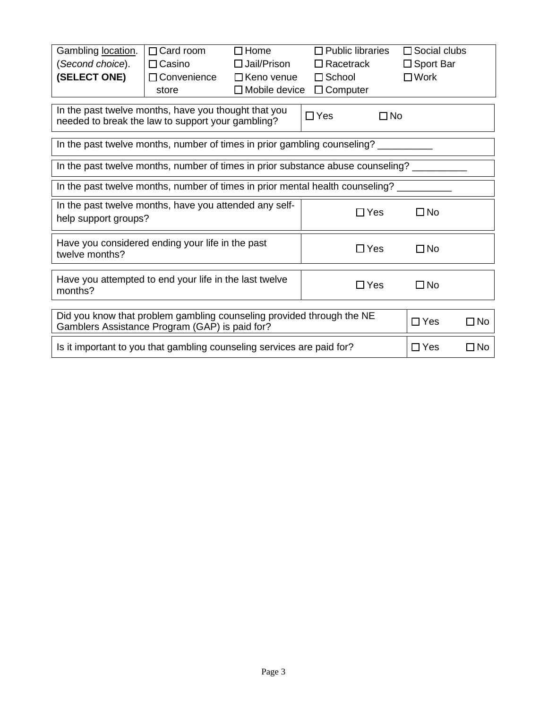| Gambling location.<br>(Second choice).<br>(SELECT ONE)                                                                  | $\Box$ Card room<br>$\Box$ Casino<br>□ Convenience<br>store                     | $\Box$ Home<br>$\Box$ Jail/Prison<br>$\Box$ Keno venue<br>$\Box$ Mobile device | $\Box$ Public libraries<br>$\Box$ Racetrack<br>$\Box$ School<br>$\Box$ Computer | $\Box$ Social clubs<br>$\Box$ Sport Bar<br>$\square$ Work |  |
|-------------------------------------------------------------------------------------------------------------------------|---------------------------------------------------------------------------------|--------------------------------------------------------------------------------|---------------------------------------------------------------------------------|-----------------------------------------------------------|--|
| In the past twelve months, have you thought that you<br>needed to break the law to support your gambling?               |                                                                                 | $\Box$ Yes<br>$\square$ No                                                     |                                                                                 |                                                           |  |
| In the past twelve months, number of times in prior gambling counseling?                                                |                                                                                 |                                                                                |                                                                                 |                                                           |  |
|                                                                                                                         | In the past twelve months, number of times in prior substance abuse counseling? |                                                                                |                                                                                 |                                                           |  |
| In the past twelve months, number of times in prior mental health counseling?                                           |                                                                                 |                                                                                |                                                                                 |                                                           |  |
| In the past twelve months, have you attended any self-<br>help support groups?                                          |                                                                                 |                                                                                | $\Box$ Yes                                                                      | $\square$ No                                              |  |
| Have you considered ending your life in the past<br>twelve months?                                                      |                                                                                 |                                                                                | $\Box$ Yes                                                                      | □No                                                       |  |
| Have you attempted to end your life in the last twelve<br>months?                                                       |                                                                                 |                                                                                | $\Box$ Yes                                                                      | $\square$ No                                              |  |
| Did you know that problem gambling counseling provided through the NE<br>Gamblers Assistance Program (GAP) is paid for? |                                                                                 |                                                                                | $\Box$ Yes                                                                      | $\Box$ No                                                 |  |
| Is it important to you that gambling counseling services are paid for?                                                  |                                                                                 |                                                                                | $\Box$ Yes                                                                      | $\Box$ No                                                 |  |